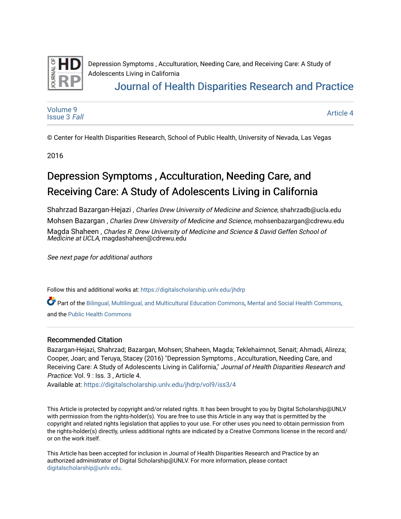

Depression Symptoms , Acculturation, Needing Care, and Receiving Care: A Study of Adolescents Living in California [Journal of Health Disparities Research and Practice](https://digitalscholarship.unlv.edu/jhdrp) 

[Volume 9](https://digitalscholarship.unlv.edu/jhdrp/vol9) [Issue 3](https://digitalscholarship.unlv.edu/jhdrp/vol9/iss3) Fall [Article 4](https://digitalscholarship.unlv.edu/jhdrp/vol9/iss3/4) 

© Center for Health Disparities Research, School of Public Health, University of Nevada, Las Vegas

2016

# Depression Symptoms , Acculturation, Needing Care, and Receiving Care: A Study of Adolescents Living in California

Shahrzad Bazargan-Hejazi , Charles Drew University of Medicine and Science, shahrzadb@ucla.edu Mohsen Bazargan , Charles Drew University of Medicine and Science, mohsenbazargan@cdrewu.edu Magda Shaheen , Charles R. Drew University of Medicine and Science & David Geffen School of Medicine at UCLA, magdashaheen@cdrewu.edu

See next page for additional authors

Follow this and additional works at: [https://digitalscholarship.unlv.edu/jhdrp](https://digitalscholarship.unlv.edu/jhdrp?utm_source=digitalscholarship.unlv.edu%2Fjhdrp%2Fvol9%2Fiss3%2F4&utm_medium=PDF&utm_campaign=PDFCoverPages) 

Part of the [Bilingual, Multilingual, and Multicultural Education Commons,](http://network.bepress.com/hgg/discipline/785?utm_source=digitalscholarship.unlv.edu%2Fjhdrp%2Fvol9%2Fiss3%2F4&utm_medium=PDF&utm_campaign=PDFCoverPages) [Mental and Social Health Commons](http://network.bepress.com/hgg/discipline/709?utm_source=digitalscholarship.unlv.edu%2Fjhdrp%2Fvol9%2Fiss3%2F4&utm_medium=PDF&utm_campaign=PDFCoverPages), and the [Public Health Commons](http://network.bepress.com/hgg/discipline/738?utm_source=digitalscholarship.unlv.edu%2Fjhdrp%2Fvol9%2Fiss3%2F4&utm_medium=PDF&utm_campaign=PDFCoverPages) 

#### Recommended Citation

Bazargan-Hejazi, Shahrzad; Bazargan, Mohsen; Shaheen, Magda; Teklehaimnot, Senait; Ahmadi, Alireza; Cooper, Joan; and Teruya, Stacey (2016) "Depression Symptoms , Acculturation, Needing Care, and Receiving Care: A Study of Adolescents Living in California," Journal of Health Disparities Research and Practice: Vol. 9 : Iss. 3 , Article 4.

Available at: [https://digitalscholarship.unlv.edu/jhdrp/vol9/iss3/4](https://digitalscholarship.unlv.edu/jhdrp/vol9/iss3/4?utm_source=digitalscholarship.unlv.edu%2Fjhdrp%2Fvol9%2Fiss3%2F4&utm_medium=PDF&utm_campaign=PDFCoverPages)

This Article is protected by copyright and/or related rights. It has been brought to you by Digital Scholarship@UNLV with permission from the rights-holder(s). You are free to use this Article in any way that is permitted by the copyright and related rights legislation that applies to your use. For other uses you need to obtain permission from the rights-holder(s) directly, unless additional rights are indicated by a Creative Commons license in the record and/ or on the work itself.

This Article has been accepted for inclusion in Journal of Health Disparities Research and Practice by an authorized administrator of Digital Scholarship@UNLV. For more information, please contact [digitalscholarship@unlv.edu](mailto:digitalscholarship@unlv.edu).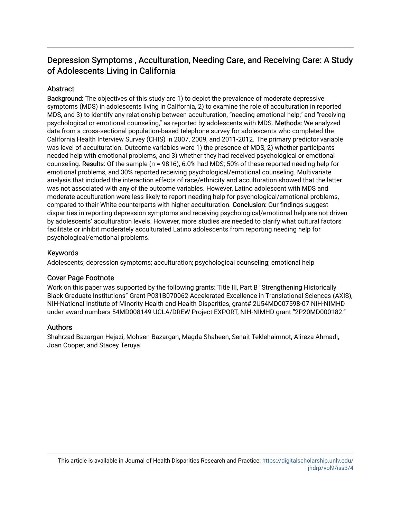## Depression Symptoms, Acculturation, Needing Care, and Receiving Care: A Study of Adolescents Living in California

## **Abstract**

Background: The objectives of this study are 1) to depict the prevalence of moderate depressive symptoms (MDS) in adolescents living in California, 2) to examine the role of acculturation in reported MDS, and 3) to identify any relationship between acculturation, "needing emotional help," and "receiving psychological or emotional counseling," as reported by adolescents with MDS. Methods: We analyzed data from a cross-sectional population-based telephone survey for adolescents who completed the California Health Interview Survey (CHIS) in 2007, 2009, and 2011-2012. The primary predictor variable was level of acculturation. Outcome variables were 1) the presence of MDS, 2) whether participants needed help with emotional problems, and 3) whether they had received psychological or emotional counseling. Results: Of the sample (n = 9816), 6.0% had MDS; 50% of these reported needing help for emotional problems, and 30% reported receiving psychological/emotional counseling. Multivariate analysis that included the interaction effects of race/ethnicity and acculturation showed that the latter was not associated with any of the outcome variables. However, Latino adolescent with MDS and moderate acculturation were less likely to report needing help for psychological/emotional problems, compared to their White counterparts with higher acculturation. Conclusion: Our findings suggest disparities in reporting depression symptoms and receiving psychological/emotional help are not driven by adolescents' acculturation levels. However, more studies are needed to clarify what cultural factors facilitate or inhibit moderately acculturated Latino adolescents from reporting needing help for psychological/emotional problems.

## Keywords

Adolescents; depression symptoms; acculturation; psychological counseling; emotional help

## Cover Page Footnote

Work on this paper was supported by the following grants: Title III, Part B "Strengthening Historically Black Graduate Institutions" Grant P031B070062 Accelerated Excellence in Translational Sciences (AXIS), NIH-National Institute of Minority Health and Health Disparities, grant# 2U54MD007598-07 NIH-NIMHD under award numbers 54MD008149 UCLA/DREW Project EXPORT, NIH-NIMHD grant "2P20MD000182."

#### Authors

Shahrzad Bazargan-Hejazi, Mohsen Bazargan, Magda Shaheen, Senait Teklehaimnot, Alireza Ahmadi, Joan Cooper, and Stacey Teruya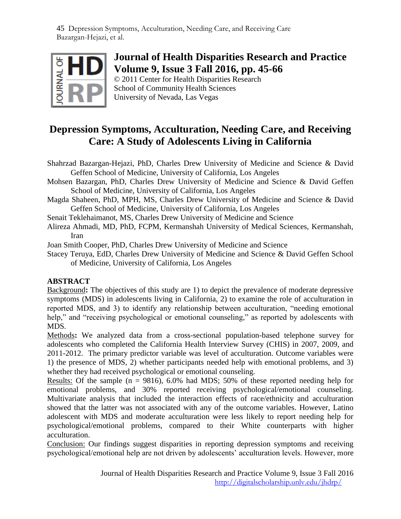

# **Journal of Health Disparities Research and Practice Volume 9, Issue 3 Fall 2016, pp. 45-66**

© 2011 Center for Health Disparities Research School of Community Health Sciences University of Nevada, Las Vegas

# **Depression Symptoms, Acculturation, Needing Care, and Receiving Care: A Study of Adolescents Living in California**

- Shahrzad Bazargan-Hejazi, PhD, Charles Drew University of Medicine and Science & David Geffen School of Medicine, University of California, Los Angeles
- Mohsen Bazargan, PhD, Charles Drew University of Medicine and Science & David Geffen School of Medicine, University of California, Los Angeles
- Magda Shaheen, PhD, MPH, MS, Charles Drew University of Medicine and Science & David Geffen School of Medicine, University of California, Los Angeles
- Senait Teklehaimanot, MS, Charles Drew University of Medicine and Science
- Alireza Ahmadi, MD, PhD, FCPM, Kermanshah University of Medical Sciences, Kermanshah, Iran
- Joan Smith Cooper, PhD, Charles Drew University of Medicine and Science
- Stacey Teruya, EdD, Charles Drew University of Medicine and Science & David Geffen School of Medicine, University of California, Los Angeles

## **ABSTRACT**

Background**:** The objectives of this study are 1) to depict the prevalence of moderate depressive symptoms (MDS) in adolescents living in California, 2) to examine the role of acculturation in reported MDS, and 3) to identify any relationship between acculturation, "needing emotional help," and "receiving psychological or emotional counseling," as reported by adolescents with MDS.

Methods**:** We analyzed data from a cross-sectional population-based telephone survey for adolescents who completed the California Health Interview Survey (CHIS) in 2007, 2009, and 2011-2012. The primary predictor variable was level of acculturation. Outcome variables were 1) the presence of MDS, 2) whether participants needed help with emotional problems, and 3) whether they had received psychological or emotional counseling.

Results: Of the sample  $(n = 9816)$ , 6.0% had MDS; 50% of these reported needing help for emotional problems, and 30% reported receiving psychological/emotional counseling. Multivariate analysis that included the interaction effects of race/ethnicity and acculturation showed that the latter was not associated with any of the outcome variables. However, Latino adolescent with MDS and moderate acculturation were less likely to report needing help for psychological/emotional problems, compared to their White counterparts with higher acculturation.

Conclusion: Our findings suggest disparities in reporting depression symptoms and receiving psychological/emotional help are not driven by adolescents' acculturation levels. However, more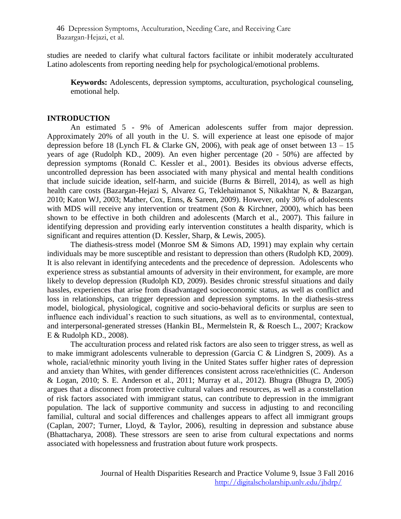studies are needed to clarify what cultural factors facilitate or inhibit moderately acculturated Latino adolescents from reporting needing help for psychological/emotional problems.

**Keywords:** Adolescents, depression symptoms, acculturation, psychological counseling, emotional help.

### **INTRODUCTION**

An estimated 5 - 9% of American adolescents suffer from major depression. Approximately 20% of all youth in the U. S. will experience at least one episode of major depression before 18 (Lynch FL & Clarke GN, 2006), with peak age of onset between  $13 - 15$ years of age (Rudolph KD., 2009). An even higher percentage (20 - 50%) are affected by depression symptoms (Ronald C. Kessler et al., 2001). Besides its obvious adverse effects, uncontrolled depression has been associated with many physical and mental health conditions that include suicide ideation, self-harm, and suicide (Burns & Birrell, 2014), as well as high health care costs (Bazargan-Hejazi S, Alvarez G, Teklehaimanot S, Nikakhtar N, & Bazargan, 2010; Katon WJ, 2003; Mather, Cox, Enns, & Sareen, 2009). However, only 30% of adolescents with MDS will receive any intervention or treatment (Son & Kirchner, 2000), which has been shown to be effective in both children and adolescents (March et al., 2007). This failure in identifying depression and providing early intervention constitutes a health disparity, which is significant and requires attention (D. Kessler, Sharp, & Lewis, 2005).

The diathesis-stress model (Monroe SM & Simons AD, 1991) may explain why certain individuals may be more susceptible and resistant to depression than others (Rudolph KD, 2009). It is also relevant in identifying antecedents and the precedence of depression. Adolescents who experience stress as substantial amounts of adversity in their environment, for example, are more likely to develop depression (Rudolph KD, 2009). Besides chronic stressful situations and daily hassles, experiences that arise from disadvantaged socioeconomic status, as well as conflict and loss in relationships, can trigger depression and depression symptoms. In the diathesis-stress model, biological, physiological, cognitive and socio-behavioral deficits or surplus are seen to influence each individual's reaction to such situations, as well as to environmental, contextual, and interpersonal-generated stresses (Hankin BL, Mermelstein R, & Roesch L., 2007; Krackow E & Rudolph KD., 2008).

The acculturation process and related risk factors are also seen to trigger stress, as well as to make immigrant adolescents vulnerable to depression (Garcia C & Lindgren S, 2009). As a whole, racial/ethnic minority youth living in the United States suffer higher rates of depression and anxiety than Whites, with gender differences consistent across race/ethnicities (C. Anderson & Logan, 2010; S. E. Anderson et al., 2011; Murray et al., 2012). Bhugra (Bhugra D, 2005) argues that a disconnect from protective cultural values and resources, as well as a constellation of risk factors associated with immigrant status, can contribute to depression in the immigrant population. The lack of supportive community and success in adjusting to and reconciling familial, cultural and social differences and challenges appears to affect all immigrant groups (Caplan, 2007; Turner, Lloyd, & Taylor, 2006), resulting in depression and substance abuse (Bhattacharya, 2008). These stressors are seen to arise from cultural expectations and norms associated with hopelessness and frustration about future work prospects.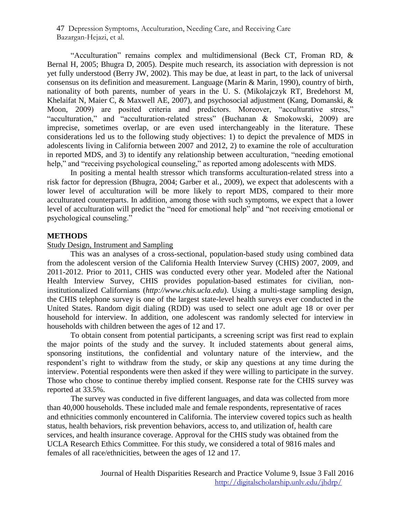"Acculturation" remains complex and multidimensional (Beck CT, Froman RD, & Bernal H, 2005; Bhugra D, 2005). Despite much research, its association with depression is not yet fully understood (Berry JW, 2002). This may be due, at least in part, to the lack of universal consensus on its definition and measurement. Language (Marin & Marin, 1990), country of birth, nationality of both parents, number of years in the U. S. (Mikolajczyk RT, Bredehorst M, Khelaifat N, Maier C, & Maxwell AE, 2007), and psychosocial adjustment (Kang, Domanski, & Moon, 2009) are posited criteria and predictors. Moreover, "acculturative stress," "acculturation," and "acculturation-related stress" (Buchanan & Smokowski, 2009) are imprecise, sometimes overlap, or are even used interchangeably in the literature. These considerations led us to the following study objectives: 1) to depict the prevalence of MDS in adolescents living in California between 2007 and 2012, 2) to examine the role of acculturation in reported MDS, and 3) to identify any relationship between acculturation, "needing emotional help," and "receiving psychological counseling," as reported among adolescents with MDS.

In positing a mental health stressor which transforms acculturation-related stress into a risk factor for depression (Bhugra, 2004; Garber et al., 2009), we expect that adolescents with a lower level of acculturation will be more likely to report MDS, compared to their more acculturated counterparts. In addition, among those with such symptoms, we expect that a lower level of acculturation will predict the "need for emotional help" and "not receiving emotional or psychological counseling."

#### **METHODS**

### Study Design, Instrument and Sampling

This was an analyses of a cross-sectional, population-based study using combined data from the adolescent version of the California Health Interview Survey (CHIS) 2007, 2009, and 2011-2012. Prior to 2011, CHIS was conducted every other year. Modeled after the National Health Interview Survey, CHIS provides population-based estimates for civilian, noninstitutionalized Californians (*http://www.chis.ucla.edu*). Using a multi-stage sampling design, the CHIS telephone survey is one of the largest state-level health surveys ever conducted in the United States. Random digit dialing (RDD) was used to select one adult age 18 or over per household for interview. In addition, one adolescent was randomly selected for interview in households with children between the ages of 12 and 17.

To obtain consent from potential participants, a screening script was first read to explain the major points of the study and the survey. It included statements about general aims, sponsoring institutions, the confidential and voluntary nature of the interview, and the respondent's right to withdraw from the study, or skip any questions at any time during the interview. Potential respondents were then asked if they were willing to participate in the survey. Those who chose to continue thereby implied consent. Response rate for the CHIS survey was reported at 33.5%.

The survey was conducted in five different languages, and data was collected from more than 40,000 households. These included male and female respondents, representative of races and ethnicities commonly encountered in California. The interview covered topics such as health status, health behaviors, risk prevention behaviors, access to, and utilization of, health care services, and health insurance coverage. Approval for the CHIS study was obtained from the UCLA Research Ethics Committee. For this study, we considered a total of 9816 males and females of all race/ethnicities, between the ages of 12 and 17.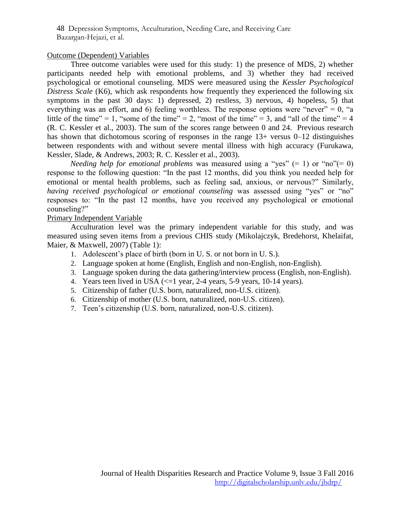## Outcome (Dependent) Variables

Three outcome variables were used for this study: 1) the presence of MDS, 2) whether participants needed help with emotional problems, and 3) whether they had received psychological or emotional counseling. MDS were measured using the *Kessler Psychological Distress Scale* (K6), which ask respondents how frequently they experienced the following six symptoms in the past 30 days: 1) depressed, 2) restless, 3) nervous, 4) hopeless, 5) that everything was an effort, and 6) feeling worthless. The response options were "never" =  $0$ , "a little of the time" = 1, "some of the time" = 2, "most of the time" = 3, and "all of the time" = 4 (R. C. Kessler et al., 2003). The sum of the scores range between 0 and 24. Previous research has shown that dichotomous scoring of responses in the range 13+ versus 0–12 distinguishes between respondents with and without severe mental illness with high accuracy (Furukawa, Kessler, Slade, & Andrews, 2003; R. C. Kessler et al., 2003).

*Needing help for emotional problems* was measured using a "yes"  $(= 1)$  or "no" $(= 0)$ response to the following question: "In the past 12 months, did you think you needed help for emotional or mental health problems, such as feeling sad, anxious, or nervous?" Similarly, *having received psychological or emotional counseling was assessed using "yes" or "no"* responses to: "In the past 12 months, have you received any psychological or emotional counseling?"

## Primary Independent Variable

Acculturation level was the primary independent variable for this study, and was measured using seven items from a previous CHIS study (Mikolajczyk, Bredehorst, Khelaifat, Maier, & Maxwell, 2007) (Table 1):

- 1. Adolescent's place of birth (born in U. S. or not born in U. S.).
- 2. Language spoken at home (English, English and non-English, non-English).
- 3. Language spoken during the data gathering/interview process (English, non-English).
- 4. Years teen lived in USA  $\ll$  =1 year, 2-4 years, 5-9 years, 10-14 years).
- 5. Citizenship of father (U.S. born, naturalized, non-U.S. citizen).
- 6. Citizenship of mother (U.S. born, naturalized, non-U.S. citizen).
- 7. Teen's citizenship (U.S. born, naturalized, non-U.S. citizen).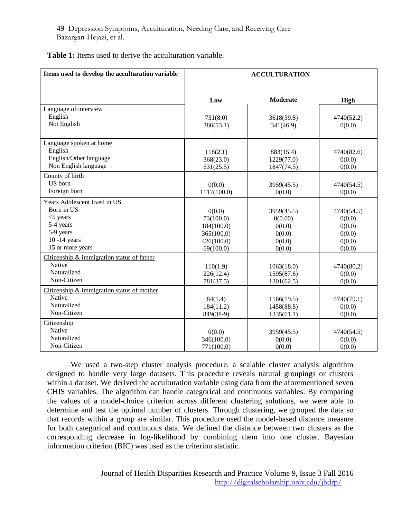| Items used to develop the acculturation variable                                                                           | <b>ACCULTURATION</b>                                                       |                                                               |                                                              |  |  |  |  |
|----------------------------------------------------------------------------------------------------------------------------|----------------------------------------------------------------------------|---------------------------------------------------------------|--------------------------------------------------------------|--|--|--|--|
|                                                                                                                            | Low                                                                        | Moderate                                                      | <b>High</b>                                                  |  |  |  |  |
| Language of interview<br>English<br>Not English                                                                            | 731(8.0)<br>386(53.1)                                                      | 3618(39.8)<br>341(46.9)                                       | 4740(52.2)<br>0(0.0)                                         |  |  |  |  |
| Language spoken at home<br>English<br>English/Other language<br>Non English language                                       | 118(2.1)<br>368(23.0)<br>631(25.5)                                         | 883(15.4)<br>1229(77.0)<br>1847(74.5)                         | 4740(82.6)<br>0(0.0)<br>0(0.0)                               |  |  |  |  |
| County of birth<br>US born<br>Foreign born                                                                                 | 0(0.0)<br>1117(100.0)                                                      | 3959(45.5)<br>0(0.0)                                          | 4740(54.5)<br>0(0.0)                                         |  |  |  |  |
| Years Adolescent lived in US<br>Born in US<br>$<$ 5 years<br>5-4 years<br>5-9 years<br>$10 - 14$ years<br>15 or more years | 0(0.0)<br>73(100.0)<br>184(100.0)<br>365(100.0)<br>426(100.0)<br>69(100.0) | 3959(45.5)<br>0(0.00)<br>0(0.0)<br>0(0.0)<br>0(0.0)<br>0(0.0) | 4740(54.5)<br>0(0.0)<br>0(0.0)<br>0(0.0)<br>0(0.0)<br>0(0.0) |  |  |  |  |
| Citizenship & immigration status of father<br>Native<br>Naturalized<br>Non-Citizen                                         | 110(1.9)<br>226(12.4)<br>781(37.5)                                         | 1063(18.0)<br>1595(87.6)<br>1301(62.5)                        | 4740(80,2)<br>0(0.0)<br>0(0.0)                               |  |  |  |  |
| Citizenship & immigration status of mother<br>Native<br>Naturalized<br>Non-Citizen                                         | 84(1.4)<br>184(11.2)<br>849(38-9)                                          | 1166(19.5)<br>1458(88.8)<br>1335(61.1)                        | 4740(79.1)<br>0(0.0)<br>0(0.0)                               |  |  |  |  |
| Citizenship<br>Native<br>Naturalized<br>Non-Citizen                                                                        | 0(0.0)<br>346(100.0)<br>771(100.0)                                         | 3959(45.5)<br>0(0.0)<br>0(0.0)                                | 4740(54.5)<br>0(0.0)<br>0(0.0)                               |  |  |  |  |

We used a two-step cluster analysis procedure, a scalable cluster analysis algorithm designed to handle very large datasets. This procedure reveals natural groupings or clusters within a dataset. We derived the acculturation variable using data from the aforementioned seven CHIS variables. The algorithm can handle categorical and continuous variables. By comparing the values of a model-choice criterion across different clustering solutions, we were able to determine and test the optimal number of clusters. Through clustering, we grouped the data so that records within a group are similar. This procedure used the model-based distance measure for both categorical and continuous data. We defined the distance between two clusters as the corresponding decrease in log-likelihood by combining them into one cluster. Bayesian information criterion (BIC) was used as the criterion statistic.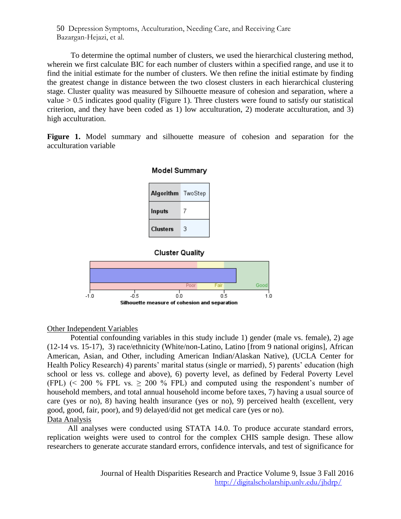To determine the optimal number of clusters, we used the hierarchical clustering method, wherein we first calculate BIC for each number of clusters within a specified range, and use it to find the initial estimate for the number of clusters. We then refine the initial estimate by finding the greatest change in distance between the two closest clusters in each hierarchical clustering stage. Cluster quality was measured by Silhouette measure of cohesion and separation, where a value  $> 0.5$  indicates good quality (Figure 1). Three clusters were found to satisfy our statistical criterion, and they have been coded as 1) low acculturation, 2) moderate acculturation, and 3) high acculturation.

**Figure 1.** Model summary and silhouette measure of cohesion and separation for the acculturation variable

| Model Summary     |   |  |  |  |  |  |  |  |
|-------------------|---|--|--|--|--|--|--|--|
| Algorithm TwoStep |   |  |  |  |  |  |  |  |
| Inputs            |   |  |  |  |  |  |  |  |
| <b>Clusters</b>   | 3 |  |  |  |  |  |  |  |





## Other Independent Variables

Potential confounding variables in this study include 1) gender (male vs. female), 2) age (12-14 vs. 15-17), 3) race/ethnicity (White/non-Latino, Latino [from 9 national origins], African American, Asian, and Other, including American Indian/Alaskan Native), (UCLA Center for Health Policy Research) 4) parents' marital status (single or married), 5) parents' education (high school or less vs. college and above), 6) poverty level, as defined by Federal Poverty Level (FPL) (< 200 % FPL vs.  $\geq$  200 % FPL) and computed using the respondent's number of household members, and total annual household income before taxes, 7) having a usual source of care (yes or no), 8) having health insurance (yes or no), 9) perceived health (excellent, very good, good, fair, poor), and 9) delayed/did not get medical care (yes or no). Data Analysis

All analyses were conducted using STATA 14.0. To produce accurate standard errors, replication weights were used to control for the complex CHIS sample design. These allow researchers to generate accurate standard errors, confidence intervals, and test of significance for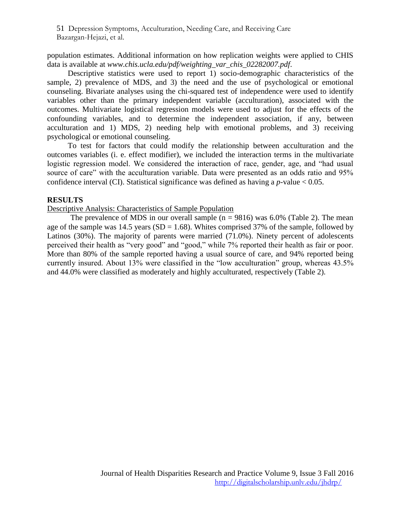population estimates. Additional information on how replication weights were applied to CHIS data is available at *www.chis.ucla.edu/pdf/weighting\_var\_chis\_02282007.pdf*.

Descriptive statistics were used to report 1) socio-demographic characteristics of the sample, 2) prevalence of MDS, and 3) the need and the use of psychological or emotional counseling. Bivariate analyses using the chi-squared test of independence were used to identify variables other than the primary independent variable (acculturation), associated with the outcomes. Multivariate logistical regression models were used to adjust for the effects of the confounding variables, and to determine the independent association, if any, between acculturation and 1) MDS, 2) needing help with emotional problems, and 3) receiving psychological or emotional counseling.

To test for factors that could modify the relationship between acculturation and the outcomes variables (i. e. effect modifier), we included the interaction terms in the multivariate logistic regression model. We considered the interaction of race, gender, age, and "had usual source of care" with the acculturation variable. Data were presented as an odds ratio and 95% confidence interval (CI). Statistical significance was defined as having a *p*-value < 0.05.

### **RESULTS**

#### Descriptive Analysis: Characteristics of Sample Population

The prevalence of MDS in our overall sample  $(n = 9816)$  was 6.0% (Table 2). The mean age of the sample was  $14.5$  years (SD = 1.68). Whites comprised 37% of the sample, followed by Latinos (30%). The majority of parents were married (71.0%). Ninety percent of adolescents perceived their health as "very good" and "good," while 7% reported their health as fair or poor. More than 80% of the sample reported having a usual source of care, and 94% reported being currently insured. About 13% were classified in the "low acculturation" group, whereas 43.5% and 44.0% were classified as moderately and highly acculturated, respectively (Table 2).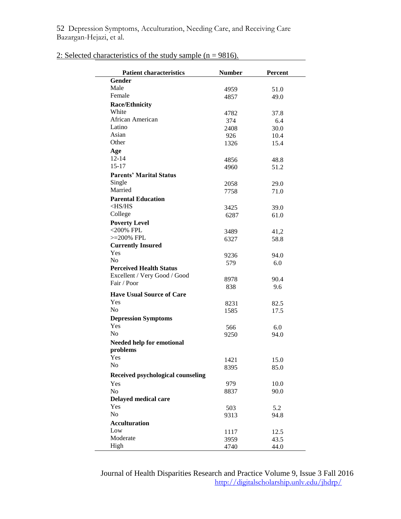| <b>Patient characteristics</b>    | <b>Number</b> | <b>Percent</b> |
|-----------------------------------|---------------|----------------|
| Gender                            |               |                |
| Male                              | 4959          | 51.0           |
| Female                            | 4857          | 49.0           |
| <b>Race/Ethnicity</b>             |               |                |
| White                             | 4782          | 37.8           |
| African American                  | 374           | 6.4            |
| Latino                            | 2408          | 30.0           |
| Asian                             | 926           | 10.4           |
| Other                             | 1326          | 15.4           |
| Age                               |               |                |
| $12 - 14$                         |               |                |
| $15 - 17$                         | 4856          | 48.8           |
|                                   | 4960          | 51.2           |
| <b>Parents' Marital Status</b>    |               |                |
| Single                            | 2058          | 29.0           |
| Married                           | 7758          | 71.0           |
| <b>Parental Education</b>         |               |                |
| $<$ HS/HS                         | 3425          | 39.0           |
| College                           | 6287          | 61.0           |
| <b>Poverty Level</b>              |               |                |
| $<$ 200% FPL                      | 3489          | 41,2           |
| $>=200\%$ FPL                     | 6327          | 58.8           |
| <b>Currently Insured</b>          |               |                |
| Yes                               | 9236          | 94.0           |
| No                                | 579           | 6.0            |
| <b>Perceived Health Status</b>    |               |                |
| Excellent / Very Good / Good      | 8978          | 90.4           |
| Fair / Poor                       | 838           | 9.6            |
| <b>Have Usual Source of Care</b>  |               |                |
| Yes                               | 8231          | 82.5           |
| N <sub>0</sub>                    | 1585          | 17.5           |
| <b>Depression Symptoms</b>        |               |                |
| Yes                               |               |                |
| No                                | 566           | 6.0            |
|                                   | 9250          | 94.0           |
| <b>Needed help for emotional</b>  |               |                |
| problems                          |               |                |
| Yes                               | 1421          | 15.0           |
| No                                | 8395          | 85.0           |
| Received psychological counseling |               |                |
| Yes                               | 979           | 10.0           |
| No                                | 8837          | 90.0           |
| Delayed medical care              |               |                |
| Yes                               | 503           | 5.2            |
| No                                | 9313          | 94.8           |
| <b>Acculturation</b>              |               |                |
| Low                               | 1117          | 12.5           |
| Moderate                          | 3959          | 43.5           |
| High                              | 4740          | 44.0           |

## 2: Selected characteristics of the study sample ( $n = 9816$ ).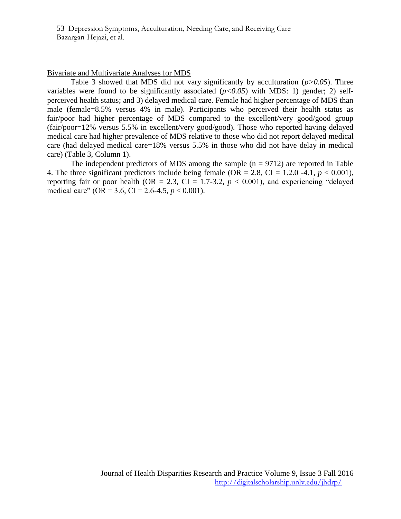#### Bivariate and Multivariate Analyses for MDS

Table 3 showed that MDS did not vary significantly by acculturation (*p>0.05*). Three variables were found to be significantly associated  $(p<0.05)$  with MDS: 1) gender; 2) selfperceived health status; and 3) delayed medical care. Female had higher percentage of MDS than male (female=8.5% versus 4% in male). Participants who perceived their health status as fair/poor had higher percentage of MDS compared to the excellent/very good/good group (fair/poor=12% versus 5.5% in excellent/very good/good). Those who reported having delayed medical care had higher prevalence of MDS relative to those who did not report delayed medical care (had delayed medical care=18% versus 5.5% in those who did not have delay in medical care) (Table 3, Column 1).

The independent predictors of MDS among the sample  $(n = 9712)$  are reported in Table 4. The three significant predictors include being female (OR = 2.8, CI = 1.2.0 -4.1,  $p < 0.001$ ), reporting fair or poor health (OR = 2.3, CI = 1.7-3.2,  $p < 0.001$ ), and experiencing "delayed medical care" (OR = 3.6, CI = 2.6-4.5,  $p < 0.001$ ).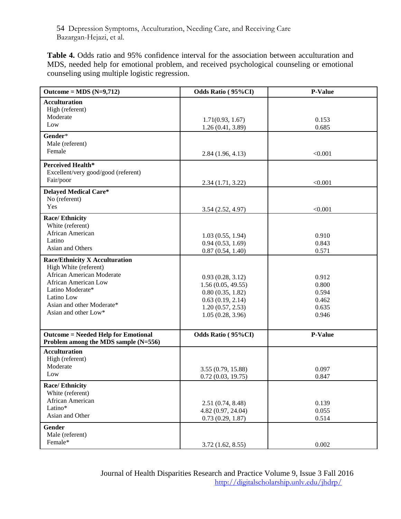**Table 4.** Odds ratio and 95% confidence interval for the association between acculturation and MDS, needed help for emotional problem, and received psychological counseling or emotional counseling using multiple logistic regression.

| Outcome = MDS $(N=9,712)$                                                          | Odds Ratio (95%CI) | <b>P-Value</b> |
|------------------------------------------------------------------------------------|--------------------|----------------|
| <b>Acculturation</b>                                                               |                    |                |
| High (referent)                                                                    |                    |                |
| Moderate                                                                           | 1.71(0.93, 1.67)   | 0.153          |
| Low                                                                                | 1.26(0.41, 3.89)   | 0.685          |
| Gender*                                                                            |                    |                |
| Male (referent)                                                                    |                    |                |
| Female                                                                             | 2.84(1.96, 4.13)   | < 0.001        |
| Perceived Health*                                                                  |                    |                |
| Excellent/very good/good (referent)                                                |                    |                |
| Fair/poor                                                                          | 2.34(1.71, 3.22)   | < 0.001        |
| <b>Delayed Medical Care*</b>                                                       |                    |                |
| No (referent)                                                                      |                    |                |
| Yes                                                                                | 3.54(2.52, 4.97)   | < 0.001        |
| <b>Race/Ethnicity</b>                                                              |                    |                |
| White (referent)                                                                   |                    |                |
| African American                                                                   | 1.03(0.55, 1.94)   | 0.910          |
| Latino                                                                             | 0.94(0.53, 1.69)   | 0.843          |
| Asian and Others                                                                   | 0.87(0.54, 1.40)   | 0.571          |
| <b>Race/Ethnicity X Acculturation</b>                                              |                    |                |
| High White (referent)                                                              |                    |                |
| <b>African American Moderate</b>                                                   | 0.93(0.28, 3.12)   | 0.912          |
| <b>African American Low</b>                                                        | 1.56(0.05, 49.55)  | 0.800          |
| Latino Moderate*                                                                   | 0.80(0.35, 1.82)   | 0.594          |
| Latino Low                                                                         | 0.63(0.19, 2.14)   | 0.462          |
| Asian and other Moderate*                                                          | 1.20(0.57, 2.53)   | 0.635          |
| Asian and other Low*                                                               | 1.05(0.28, 3.96)   | 0.946          |
|                                                                                    |                    |                |
| <b>Outcome = Needed Help for Emotional</b><br>Problem among the MDS sample (N=556) | Odds Ratio (95%CI) | P-Value        |
| <b>Acculturation</b>                                                               |                    |                |
| High (referent)                                                                    |                    |                |
| Moderate                                                                           |                    |                |
| Low                                                                                | 3.55 (0.79, 15.88) | 0.097          |
|                                                                                    | 0.72(0.03, 19.75)  | 0.847          |
| <b>Race/Ethnicity</b><br>White (referent)                                          |                    |                |
| African American                                                                   |                    |                |
| Latino*                                                                            | 2.51(0.74, 8.48)   | 0.139          |
| Asian and Other                                                                    | 4.82 (0.97, 24.04) | 0.055          |
|                                                                                    | 0.73(0.29, 1.87)   | 0.514          |
| Gender                                                                             |                    |                |
| Male (referent)                                                                    |                    |                |
| Female*                                                                            | 3.72(1.62, 8.55)   | 0.002          |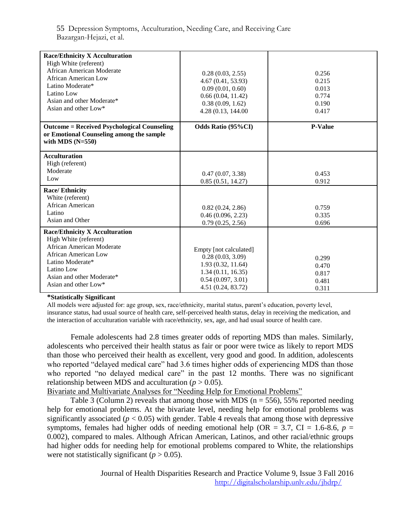| <b>Race/Ethnicity X Acculturation</b><br>High White (referent)<br>African American Moderate<br>African American Low<br>Latino Moderate*<br>Latino Low<br>Asian and other Moderate*<br>Asian and other Low*<br><b>Outcome = Received Psychological Counseling</b><br>or Emotional Counseling among the sample<br>with MDS $(N=550)$ | 0.28(0.03, 2.55)<br>4.67 (0.41, 53.93)<br>0.09(0.01, 0.60)<br>0.66(0.04, 11.42)<br>0.38(0.09, 1.62)<br>4.28 (0.13, 144.00)<br>Odds Ratio (95%CI) | 0.256<br>0.215<br>0.013<br>0.774<br>0.190<br>0.417<br><b>P-Value</b> |
|------------------------------------------------------------------------------------------------------------------------------------------------------------------------------------------------------------------------------------------------------------------------------------------------------------------------------------|--------------------------------------------------------------------------------------------------------------------------------------------------|----------------------------------------------------------------------|
| <b>Acculturation</b><br>High (referent)<br>Moderate<br>Low                                                                                                                                                                                                                                                                         | 0.47(0.07, 3.38)<br>0.85(0.51, 14.27)                                                                                                            | 0.453<br>0.912                                                       |
| <b>Race/Ethnicity</b><br>White (referent)<br><b>African American</b><br>Latino<br>Asian and Other                                                                                                                                                                                                                                  | 0.82(0.24, 2.86)<br>0.46(0.096, 2.23)<br>0.79(0.25, 2.56)                                                                                        | 0.759<br>0.335<br>0.696                                              |
| <b>Race/Ethnicity X Acculturation</b><br>High White (referent)<br><b>African American Moderate</b><br>African American Low<br>Latino Moderate*<br>Latino Low<br>Asian and other Moderate*<br>Asian and other Low*                                                                                                                  | Empty [not calculated]<br>0.28(0.03, 3.09)<br>1.93 (0.32, 11.64)<br>1.34(0.11, 16.35)<br>0.54(0.097, 3.01)<br>4.51 (0.24, 83.72)                 | 0.299<br>0.470<br>0.817<br>0.481<br>0.311                            |

#### **\*Statistically Significant**

All models were adjusted for: age group, sex, race/ethnicity, marital status, parent's education, poverty level, insurance status, had usual source of health care, self-perceived health status, delay in receiving the medication, and the interaction of acculturation variable with race/ethnicity, sex, age, and had usual source of health care.

Female adolescents had 2.8 times greater odds of reporting MDS than males. Similarly, adolescents who perceived their health status as fair or poor were twice as likely to report MDS than those who perceived their health as excellent, very good and good. In addition, adolescents who reported "delayed medical care" had 3.6 times higher odds of experiencing MDS than those who reported "no delayed medical care" in the past 12 months. There was no significant relationship between MDS and acculturation ( $p > 0.05$ ).

Bivariate and Multivariate Analyses for "Needing Help for Emotional Problems"

Table 3 (Column 2) reveals that among those with MDS ( $n = 556$ ), 55% reported needing help for emotional problems. At the bivariate level, needing help for emotional problems was significantly associated ( $p < 0.05$ ) with gender. Table 4 reveals that among those with depressive symptoms, females had higher odds of needing emotional help ( $OR = 3.7$ ,  $CI = 1.6-8.6$ ,  $p =$ 0.002), compared to males. Although African American, Latinos, and other racial/ethnic groups had higher odds for needing help for emotional problems compared to White, the relationships were not statistically significant  $(p > 0.05)$ .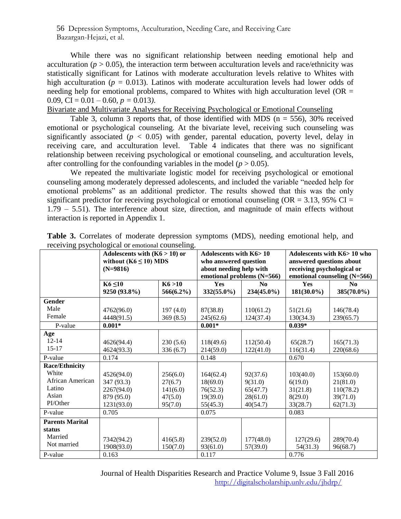While there was no significant relationship between needing emotional help and acculturation ( $p > 0.05$ ), the interaction term between acculturation levels and race/ethnicity was statistically significant for Latinos with moderate acculturation levels relative to Whites with high acculturation ( $p = 0.013$ ). Latinos with moderate acculturation levels had lower odds of needing help for emotional problems, compared to Whites with high acculturation level ( $OR =$ 0.09, CI =  $0.01 - 0.60$ ,  $p = 0.013$ ).

Bivariate and Multivariate Analyses for Receiving Psychological or Emotional Counseling

Table 3, column 3 reports that, of those identified with MDS ( $n = 556$ ), 30% received emotional or psychological counseling. At the bivariate level, receiving such counseling was significantly associated ( $p < 0.05$ ) with gender, parental education, poverty level, delay in receiving care, and acculturation level. Table 4 indicates that there was no significant relationship between receiving psychological or emotional counseling, and acculturation levels, after controlling for the confounding variables in the model ( $p > 0.05$ ).

We repeated the multivariate logistic model for receiving psychological or emotional counseling among moderately depressed adolescents, and included the variable "needed help for emotional problems" as an additional predictor. The results showed that this was the only significant predictor for receiving psychological or emotional counseling ( $OR = 3.13$ , 95% CI = 1.79 – 5.51). The interference about size, direction, and magnitude of main effects without interaction is reported in Appendix 1.

| ס -----------          | Adolescents with $(K6 > 10)$ or<br>without $(K6 \le 10) MDS$<br>$(N=9816)$ |                         | Adolescents with K6>10<br>who answered question<br>about needing help with<br>emotional problems (N=566) |                              | Adolescents with K6> 10 who<br>answered questions about<br>receiving psychological or<br>emotional counseling (N=566) |                              |  |
|------------------------|----------------------------------------------------------------------------|-------------------------|----------------------------------------------------------------------------------------------------------|------------------------------|-----------------------------------------------------------------------------------------------------------------------|------------------------------|--|
|                        | $K6 \leq 10$<br>9250 (93.8%)                                               | K6 > 10<br>$566(6.2\%)$ | Yes<br>$332(55.0\%)$                                                                                     | N <sub>0</sub><br>234(45.0%) | Yes<br>$181(30.0\%)$                                                                                                  | N <sub>0</sub><br>385(70.0%) |  |
| Gender                 |                                                                            |                         |                                                                                                          |                              |                                                                                                                       |                              |  |
| Male                   | 4762(96.0)                                                                 | 197(4.0)                | 87(38.8)                                                                                                 | 110(61.2)                    | 51(21.6)                                                                                                              | 146(78.4)                    |  |
| Female                 | 4448(91.5)                                                                 | 369(8.5)                | 245(62.6)                                                                                                | 124(37.4)                    | 130(34.3)                                                                                                             | 239(65.7)                    |  |
| P-value                | $0.001*$                                                                   |                         | $0.001*$                                                                                                 |                              | $0.039*$                                                                                                              |                              |  |
| Age                    |                                                                            |                         |                                                                                                          |                              |                                                                                                                       |                              |  |
| $12 - 14$              | 4626(94.4)                                                                 | 230(5.6)                | 118(49.6)                                                                                                | 112(50.4)                    | 65(28.7)                                                                                                              | 165(71.3)                    |  |
| $15-17$                | 4624(93.3)                                                                 | 336(6.7)                | 214(59.0)                                                                                                | 122(41.0)                    | 116(31.4)                                                                                                             | 220(68.6)                    |  |
| P-value                | 0.174                                                                      |                         | 0.148                                                                                                    |                              | 0.670                                                                                                                 |                              |  |
| <b>Race/Ethnicity</b>  |                                                                            |                         |                                                                                                          |                              |                                                                                                                       |                              |  |
| White                  | 4526(94.0)                                                                 | 256(6.0)                | 164(62.4)                                                                                                | 92(37.6)                     | 103(40.0)                                                                                                             | 153(60.0)                    |  |
| African American       | 347 (93.3)                                                                 | 27(6.7)                 | 18(69.0)                                                                                                 | 9(31.0)                      | 6(19.0)                                                                                                               | 21(81.0)                     |  |
| Latino                 | 2267(94.0)                                                                 | 141(6.0)                | 76(52.3)                                                                                                 | 65(47.7)                     | 31(21.8)                                                                                                              | 110(78.2)                    |  |
| Asian                  | 879 (95.0)                                                                 | 47(5.0)                 | 19(39.0)                                                                                                 | 28(61.0)                     | 8(29.0)                                                                                                               | 39(71.0)                     |  |
| PI/Other               | 1231(93.0)                                                                 | 95(7.0)                 | 55(45.3)                                                                                                 | 40(54.7)                     | 33(28.7)                                                                                                              | 62(71.3)                     |  |
| P-value                | 0.705                                                                      |                         | 0.075                                                                                                    |                              | 0.083                                                                                                                 |                              |  |
| <b>Parents Marital</b> |                                                                            |                         |                                                                                                          |                              |                                                                                                                       |                              |  |
| status                 |                                                                            |                         |                                                                                                          |                              |                                                                                                                       |                              |  |
| Married                | 7342(94.2)                                                                 | 416(5.8)                | 239(52.0)                                                                                                | 177(48.0)                    | 127(29.6)                                                                                                             | 289(70.4)                    |  |
| Not married            | 1908(93.0)                                                                 | 150(7.0)                | 93(61.0)                                                                                                 | 57(39.0)                     | 54(31.3)                                                                                                              | 96(68.7)                     |  |
| P-value                | 0.163                                                                      |                         | 0.117                                                                                                    |                              | 0.776                                                                                                                 |                              |  |

**Table 3.** Correlates of moderate depression symptoms (MDS), needing emotional help, and receiving psychological or emotional counseling.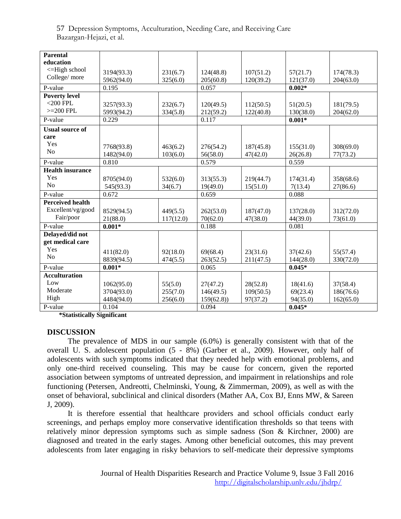| <b>Parental</b>         |            |           |                      |           |           |           |  |
|-------------------------|------------|-----------|----------------------|-----------|-----------|-----------|--|
| education               |            |           |                      |           |           |           |  |
| $\leq$ -High school     | 3194(93.3) | 231(6.7)  | 124(48.8)            | 107(51.2) | 57(21.7)  | 174(78.3) |  |
| College/more            | 5962(94.0) | 325(6.0)  | 205(60.8)            | 120(39.2) | 121(37.0) | 204(63.0) |  |
| P-value                 | 0.195      |           | 0.057                |           | $0.002*$  |           |  |
| <b>Poverty level</b>    |            |           |                      |           |           |           |  |
| $<$ 200 FPL             | 3257(93.3) | 232(6.7)  | 120(49.5)            | 112(50.5) | 51(20.5)  | 181(79.5) |  |
| $>=200$ FPL             | 5993(94.2) | 334(5.8)  | 212(59.2)            | 122(40.8) | 130(38.0) | 204(62.0) |  |
| P-value                 | 0.229      |           | 0.117                |           | $0.001*$  |           |  |
|                         |            |           |                      |           |           |           |  |
| <b>Usual source of</b>  |            |           |                      |           |           |           |  |
| care                    |            |           |                      |           |           |           |  |
| Yes                     | 7768(93.8) | 463(6.2)  | 276(54.2)            | 187(45.8) | 155(31.0) | 308(69.0) |  |
| N <sub>o</sub>          | 1482(94.0) | 103(6.0)  | 56(58.0)<br>47(42.0) |           | 26(26.8)  | 77(73.2)  |  |
| P-value                 | 0.810      |           | 0.579                |           | 0.559     |           |  |
| <b>Health insurance</b> |            |           |                      |           |           |           |  |
| Yes                     | 8705(94.0) | 532(6.0)  | 313(55.3)            | 219(44.7) | 174(31.4) | 358(68.6) |  |
| N <sub>o</sub>          | 545(93.3)  | 34(6.7)   | 19(49.0)             | 15(51.0)  | 7(13.4)   | 27(86.6)  |  |
| P-value                 | 0.672      |           | 0.659                |           | 0.088     |           |  |
| <b>Perceived health</b> |            |           |                      |           |           |           |  |
| Excellent/vg/good       | 8529(94.5) | 449(5.5)  | 262(53.0)            | 187(47.0) | 137(28.0) | 312(72.0) |  |
| Fair/poor               | 21(88.0)   | 117(12.0) | 70(62.0)             | 47(38.0)  | 44(39.0)  | 73(61.0)  |  |
| P-value                 | $0.001*$   |           | 0.188                |           | 0.081     |           |  |
| Delayed/did not         |            |           |                      |           |           |           |  |
| get medical care        |            |           |                      |           |           |           |  |
| Yes                     | 411(82.0)  | 92(18.0)  | 69(68.4)             | 23(31.6)  | 37(42.6)  | 55(57.4)  |  |
| N <sub>o</sub>          | 8839(94.5) | 474(5.5)  | 263(52.5)            | 211(47.5) | 144(28.0) | 330(72.0) |  |
| P-value                 | $0.001*$   | 0.065     |                      |           | $0.045*$  |           |  |
| <b>Acculturation</b>    |            |           |                      |           |           |           |  |
| Low                     | 1062(95.0) | 55(5.0)   | 27(47.2)             | 28(52.8)  | 18(41.6)  | 37(58.4)  |  |
| Moderate                | 3704(93.0) | 255(7.0)  | 146(49.5)            | 109(50.5) | 69(23.4)  | 186(76.6) |  |
| High                    | 4484(94.0) | 256(6.0)  | 159(62.8)            | 97(37.2)  | 94(35.0)  | 162(65.0) |  |
| P-value                 | 0.104      |           | 0.094                |           | $0.045*$  |           |  |
|                         |            |           |                      |           |           |           |  |

**\*Statistically Significant** 

#### **DISCUSSION**

The prevalence of MDS in our sample (6.0%) is generally consistent with that of the overall U. S. adolescent population (5 - 8%) (Garber et al., 2009). However, only half of adolescents with such symptoms indicated that they needed help with emotional problems, and only one-third received counseling. This may be cause for concern, given the reported association between symptoms of untreated depression, and impairment in relationships and role functioning (Petersen, Andreotti, Chelminski, Young, & Zimmerman, 2009), as well as with the onset of behavioral, subclinical and clinical disorders (Mather AA, Cox BJ, Enns MW, & Sareen J, 2009).

It is therefore essential that healthcare providers and school officials conduct early screenings, and perhaps employ more conservative identification thresholds so that teens with relatively minor depression symptoms such as simple sadness (Son & Kirchner, 2000) are diagnosed and treated in the early stages. Among other beneficial outcomes, this may prevent adolescents from later engaging in risky behaviors to self-medicate their depressive symptoms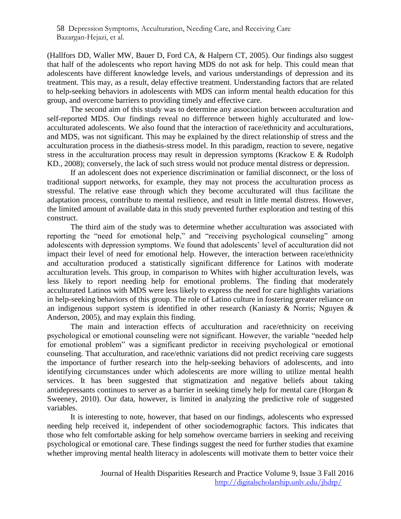(Hallfors DD, Waller MW, Bauer D, Ford CA, & Halpern CT, 2005). Our findings also suggest that half of the adolescents who report having MDS do not ask for help. This could mean that adolescents have different knowledge levels, and various understandings of depression and its treatment. This may, as a result, delay effective treatment. Understanding factors that are related to help-seeking behaviors in adolescents with MDS can inform mental health education for this group, and overcome barriers to providing timely and effective care.

The second aim of this study was to determine any association between acculturation and self-reported MDS. Our findings reveal no difference between highly acculturated and lowacculturated adolescents. We also found that the interaction of race/ethnicity and acculturations, and MDS, was not significant. This may be explained by the direct relationship of stress and the acculturation process in the diathesis-stress model. In this paradigm, reaction to severe, negative stress in the acculturation process may result in depression symptoms (Krackow E & Rudolph KD., 2008); conversely, the lack of such stress would not produce mental distress or depression.

If an adolescent does not experience discrimination or familial disconnect, or the loss of traditional support networks, for example, they may not process the acculturation process as stressful. The relative ease through which they become acculturated will thus facilitate the adaptation process, contribute to mental resilience, and result in little mental distress. However, the limited amount of available data in this study prevented further exploration and testing of this construct.

The third aim of the study was to determine whether acculturation was associated with reporting the "need for emotional help," and "receiving psychological counseling" among adolescents with depression symptoms. We found that adolescents' level of acculturation did not impact their level of need for emotional help. However, the interaction between race/ethnicity and acculturation produced a statistically significant difference for Latinos with moderate acculturation levels. This group, in comparison to Whites with higher acculturation levels, was less likely to report needing help for emotional problems. The finding that moderately acculturated Latinos with MDS were less likely to express the need for care highlights variations in help-seeking behaviors of this group. The role of Latino culture in fostering greater reliance on an indigenous support system is identified in other research [\(Kaniasty & Norris;](#page-19-0) Nguyen  $\&$ Anderson, 2005), and may explain this finding.

The main and interaction effects of acculturation and race/ethnicity on receiving psychological or emotional counseling were not significant. However, the variable "needed help for emotional problem" was a significant predictor in receiving psychological or emotional counseling. That acculturation, and race/ethnic variations did not predict receiving care suggests the importance of further research into the help-seeking behaviors of adolescents, and into identifying circumstances under which adolescents are more willing to utilize mental health services. It has been suggested that stigmatization and negative beliefs about taking antidepressants continues to server as a barrier in seeking timely help for mental care (Horgan & Sweeney, 2010). Our data, however, is limited in analyzing the predictive role of suggested variables.

It is interesting to note, however, that based on our findings, adolescents who expressed needing help received it, independent of other sociodemographic factors. This indicates that those who felt comfortable asking for help somehow overcame barriers in seeking and receiving psychological or emotional care. These findings suggest the need for further studies that examine whether improving mental health literacy in adolescents will motivate them to better voice their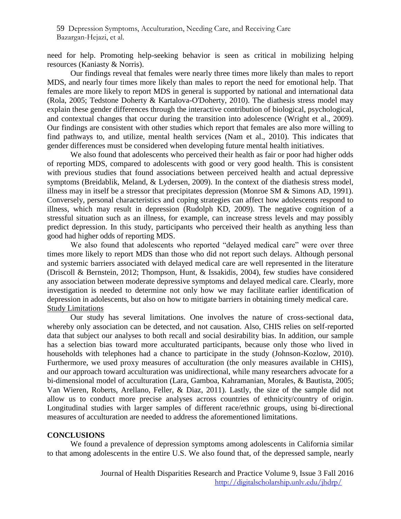need for help. Promoting help-seeking behavior is seen as critical in mobilizing helping resources [\(Kaniasty & Norris\).](#page-19-0)

Our findings reveal that females were nearly three times more likely than males to report MDS, and nearly four times more likely than males to report the need for emotional help. That females are more likely to report MDS in general is supported by national and international data (Rola, 2005; Tedstone Doherty & Kartalova-O'Doherty, 2010). The diathesis stress model may explain these gender differences through the interactive contribution of biological, psychological, and contextual changes that occur during the transition into adolescence (Wright et al., 2009). Our findings are consistent with other studies which report that females are also more willing to find pathways to, and utilize, mental health services (Nam et al., 2010). This indicates that gender differences must be considered when developing future mental health initiatives.

We also found that adolescents who perceived their health as fair or poor had higher odds of reporting MDS, compared to adolescents with good or very good health. This is consistent with previous studies that found associations between perceived health and actual depressive symptoms (Breidablik, Meland, & Lydersen, 2009). In the context of the diathesis stress model, illness may in itself be a stressor that precipitates depression (Monroe SM & Simons AD, 1991). Conversely, personal characteristics and coping strategies can affect how adolescents respond to illness, which may result in depression (Rudolph KD, 2009). The negative cognition of a stressful situation such as an illness, for example, can increase stress levels and may possibly predict depression. In this study, participants who perceived their health as anything less than good had higher odds of reporting MDS.

We also found that adolescents who reported "delayed medical care" were over three times more likely to report MDS than those who did not report such delays. Although personal and systemic barriers associated with delayed medical care are well represented in the literature (Driscoll & Bernstein, 2012; Thompson, Hunt, & Issakidis, 2004), few studies have considered any association between moderate depressive symptoms and delayed medical care. Clearly, more investigation is needed to determine not only how we may facilitate earlier identification of depression in adolescents, but also on how to mitigate barriers in obtaining timely medical care. Study Limitations

Our study has several limitations. One involves the nature of cross-sectional data, whereby only association can be detected, and not causation. Also, CHIS relies on self-reported data that subject our analyses to both recall and social desirability bias. In addition, our sample has a selection bias toward more acculturated participants, because only those who lived in households with telephones had a chance to participate in the study (Johnson-Kozlow, 2010). Furthermore, we used proxy measures of acculturation (the only measures available in CHIS), and our approach toward acculturation was unidirectional, while many researchers advocate for a bi-dimensional model of acculturation (Lara, Gamboa, Kahramanian, Morales, & Bautista, 2005; Van Wieren, Roberts, Arellano, Feller, & Diaz, 2011). Lastly, the size of the sample did not allow us to conduct more precise analyses across countries of ethnicity/country of origin. Longitudinal studies with larger samples of different race/ethnic groups, using bi-directional measures of acculturation are needed to address the aforementioned limitations.

#### **CONCLUSIONS**

We found a prevalence of depression symptoms among adolescents in California similar to that among adolescents in the entire U.S. We also found that, of the depressed sample, nearly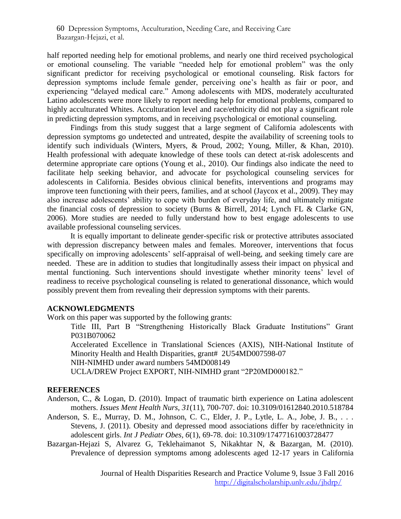half reported needing help for emotional problems, and nearly one third received psychological or emotional counseling. The variable "needed help for emotional problem" was the only significant predictor for receiving psychological or emotional counseling. Risk factors for depression symptoms include female gender, perceiving one's health as fair or poor, and experiencing "delayed medical care." Among adolescents with MDS, moderately acculturated Latino adolescents were more likely to report needing help for emotional problems, compared to highly acculturated Whites. Acculturation level and race/ethnicity did not play a significant role in predicting depression symptoms, and in receiving psychological or emotional counseling.

Findings from this study suggest that a large segment of California adolescents with depression symptoms go undetected and untreated, despite the availability of screening tools to identify such individuals (Winters, Myers, & Proud, 2002; Young, Miller, & Khan, 2010). Health professional with adequate knowledge of these tools can detect at-risk adolescents and determine appropriate care options (Young et al., 2010). Our findings also indicate the need to facilitate help seeking behavior, and advocate for psychological counseling services for adolescents in California. Besides obvious clinical benefits, interventions and programs may improve teen functioning with their peers, families, and at school (Jaycox et al., 2009). They may also increase adolescents' ability to cope with burden of everyday life, and ultimately mitigate the financial costs of depression to society (Burns & Birrell, 2014; Lynch FL & Clarke GN, 2006). More studies are needed to fully understand how to best engage adolescents to use available professional counseling services.

It is equally important to delineate gender-specific risk or protective attributes associated with depression discrepancy between males and females. Moreover, interventions that focus specifically on improving adolescents' self-appraisal of well-being, and seeking timely care are needed. These are in addition to studies that longitudinally assess their impact on physical and mental functioning. Such interventions should investigate whether minority teens' level of readiness to receive psychological counseling is related to generational dissonance, which would possibly prevent them from revealing their depression symptoms with their parents.

## **ACKNOWLEDGMENTS**

Work on this paper was supported by the following grants:

Title III, Part B "Strengthening Historically Black Graduate Institutions" Grant P031B070062

Accelerated Excellence in Translational Sciences (AXIS), NIH-National Institute of Minority Health and Health Disparities, grant# 2U54MD007598-07

NIH-NIMHD under award numbers 54MD008149

UCLA/DREW Project EXPORT, NIH-NIMHD grant "2P20MD000182."

## **REFERENCES**

Anderson, C., & Logan, D. (2010). Impact of traumatic birth experience on Latina adolescent mothers. *Issues Ment Health Nurs, 31*(11), 700-707. doi: 10.3109/01612840.2010.518784

- Anderson, S. E., Murray, D. M., Johnson, C. C., Elder, J. P., Lytle, L. A., Jobe, J. B., ... Stevens, J. (2011). Obesity and depressed mood associations differ by race/ethnicity in adolescent girls. *Int J Pediatr Obes, 6*(1), 69-78. doi: 10.3109/17477161003728477
- Bazargan-Hejazi S, Alvarez G, Teklehaimanot S, Nikakhtar N, & Bazargan, M. (2010). Prevalence of depression symptoms among adolescents aged 12-17 years in California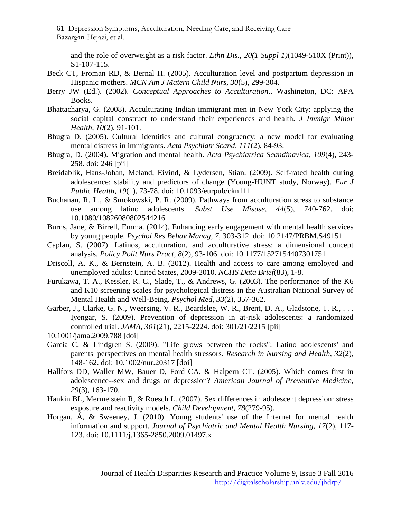and the role of overweight as a risk factor. *Ethn Dis., 20(1 Suppl 1)*(1049-510X (Print)), S1-107-115.

- Beck CT, Froman RD, & Bernal H. (2005). Acculturation level and postpartum depression in Hispanic mothers. *MCN Am J Matern Child Nurs, 30*(5), 299-304.
- Berry JW (Ed.). (2002). *Conceptual Approaches to Acculturation*.. Washington, DC: APA Books.
- Bhattacharya, G. (2008). Acculturating Indian immigrant men in New York City: applying the social capital construct to understand their experiences and health. *J Immigr Minor Health, 10*(2), 91-101.
- Bhugra D. (2005). Cultural identities and cultural congruency: a new model for evaluating mental distress in immigrants. *Acta Psychiatr Scand, 111*(2), 84-93.
- Bhugra, D. (2004). Migration and mental health. *Acta Psychiatrica Scandinavica, 109*(4), 243- 258. doi: 246 [pii]
- Breidablik, Hans-Johan, Meland, Eivind, & Lydersen, Stian. (2009). Self-rated health during adolescence: stability and predictors of change (Young-HUNT study, Norway). *Eur J Public Health, 19*(1), 73-78. doi: 10.1093/eurpub/ckn111
- Buchanan, R. L., & Smokowski, P. R. (2009). Pathways from acculturation stress to substance use among latino adolescents. *Subst Use Misuse, 44*(5), 740-762. doi: 10.1080/10826080802544216
- Burns, Jane, & Birrell, Emma. (2014). Enhancing early engagement with mental health services by young people. *Psychol Res Behav Manag, 7*, 303-312. doi: 10.2147/PRBM.S49151
- Caplan, S. (2007). Latinos, acculturation, and acculturative stress: a dimensional concept analysis. *Policy Polit Nurs Pract, 8*(2), 93-106. doi: 10.1177/1527154407301751
- Driscoll, A. K., & Bernstein, A. B. (2012). Health and access to care among employed and unemployed adults: United States, 2009-2010. *NCHS Data Brief*(83), 1-8.
- Furukawa, T. A., Kessler, R. C., Slade, T., & Andrews, G. (2003). The performance of the K6 and K10 screening scales for psychological distress in the Australian National Survey of Mental Health and Well-Being. *Psychol Med, 33*(2), 357-362.
- Garber, J., Clarke, G. N., Weersing, V. R., Beardslee, W. R., Brent, D. A., Gladstone, T. R., ... Iyengar, S. (2009). Prevention of depression in at-risk adolescents: a randomized controlled trial. *JAMA, 301*(21), 2215-2224. doi: 301/21/2215 [pii]
- 10.1001/jama.2009.788 [doi]
- Garcia C, & Lindgren S. (2009). "Life grows between the rocks": Latino adolescents' and parents' perspectives on mental health stressors. *Research in Nursing and Health, 32*(2), 148-162. doi: 10.1002/nur.20317 [doi]
- Hallfors DD, Waller MW, Bauer D, Ford CA, & Halpern CT. (2005). Which comes first in adolescence--sex and drugs or depression? *American Journal of Preventive Medicine, 29*(3), 163-170.
- Hankin BL, Mermelstein R, & Roesch L. (2007). Sex differences in adolescent depression: stress exposure and reactivity models. *Child Development, 78*(279-95).
- Horgan, Á, & Sweeney, J. (2010). Young students' use of the Internet for mental health information and support. *Journal of Psychiatric and Mental Health Nursing, 17*(2), 117- 123. doi: 10.1111/j.1365-2850.2009.01497.x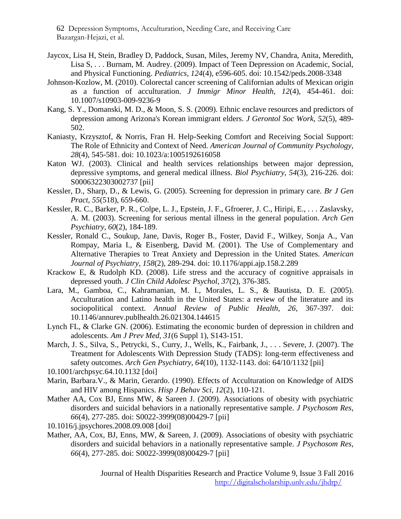- Jaycox, Lisa H, Stein, Bradley D, Paddock, Susan, Miles, Jeremy NV, Chandra, Anita, Meredith, Lisa S, . . . Burnam, M. Audrey. (2009). Impact of Teen Depression on Academic, Social, and Physical Functioning. *Pediatrics, 124*(4), e596-605. doi: 10.1542/peds.2008-3348
- Johnson-Kozlow, M. (2010). Colorectal cancer screening of Californian adults of Mexican origin as a function of acculturation. *J Immigr Minor Health, 12*(4), 454-461. doi: 10.1007/s10903-009-9236-9
- <span id="page-19-0"></span>Kang, S. Y., Domanski, M. D., & Moon, S. S. (2009). Ethnic enclave resources and predictors of depression among Arizona's Korean immigrant elders. *J Gerontol Soc Work, 52*(5), 489- 502.
- Kaniasty, Krzysztof, & Norris, Fran H. Help-Seeking Comfort and Receiving Social Support: The Role of Ethnicity and Context of Need. *American Journal of Community Psychology, 28*(4), 545-581. doi: 10.1023/a:1005192616058
- Katon WJ. (2003). Clinical and health services relationships between major depression, depressive symptoms, and general medical illness. *Biol Psychiatry, 54*(3), 216-226. doi: S0006322303002737 [pii]
- Kessler, D., Sharp, D., & Lewis, G. (2005). Screening for depression in primary care. *Br J Gen Pract, 55*(518), 659-660.
- Kessler, R. C., Barker, P. R., Colpe, L. J., Epstein, J. F., Gfroerer, J. C., Hiripi, E., . . . Zaslavsky, A. M. (2003). Screening for serious mental illness in the general population. *Arch Gen Psychiatry, 60*(2), 184-189.
- Kessler, Ronald C., Soukup, Jane, Davis, Roger B., Foster, David F., Wilkey, Sonja A., Van Rompay, Maria I., & Eisenberg, David M. (2001). The Use of Complementary and Alternative Therapies to Treat Anxiety and Depression in the United States. *American Journal of Psychiatry, 158*(2), 289-294. doi: 10.1176/appi.ajp.158.2.289
- Krackow E, & Rudolph KD. (2008). Life stress and the accuracy of cognitive appraisals in depressed youth. *J Clin Child Adolesc Psychol, 37*(2), 376-385.
- Lara, M., Gamboa, C., Kahramanian, M. I., Morales, L. S., & Bautista, D. E. (2005). Acculturation and Latino health in the United States: a review of the literature and its sociopolitical context. *Annual Review of Public Health, 26*, 367-397. doi: 10.1146/annurev.publhealth.26.021304.144615
- Lynch FL, & Clarke GN. (2006). Estimating the economic burden of depression in children and adolescents. *Am J Prev Med, 31*(6 Suppl 1), S143-151.
- March, J. S., Silva, S., Petrycki, S., Curry, J., Wells, K., Fairbank, J., . . . Severe, J. (2007). The Treatment for Adolescents With Depression Study (TADS): long-term effectiveness and safety outcomes. *Arch Gen Psychiatry, 64*(10), 1132-1143. doi: 64/10/1132 [pii]
- 10.1001/archpsyc.64.10.1132 [doi]
- Marin, Barbara.V., & Marin, Gerardo. (1990). Effects of Acculturation on Knowledge of AIDS and HIV among Hispanics. *Hisp J Behav Sci, 12*(2), 110-121.
- Mather AA, Cox BJ, Enns MW, & Sareen J. (2009). Associations of obesity with psychiatric disorders and suicidal behaviors in a nationally representative sample. *J Psychosom Res, 66*(4), 277-285. doi: S0022-3999(08)00429-7 [pii]

10.1016/j.jpsychores.2008.09.008 [doi]

Mather, AA, Cox, BJ, Enns, MW, & Sareen, J. (2009). Associations of obesity with psychiatric disorders and suicidal behaviors in a nationally representative sample. *J Psychosom Res, 66*(4), 277-285. doi: S0022-3999(08)00429-7 [pii]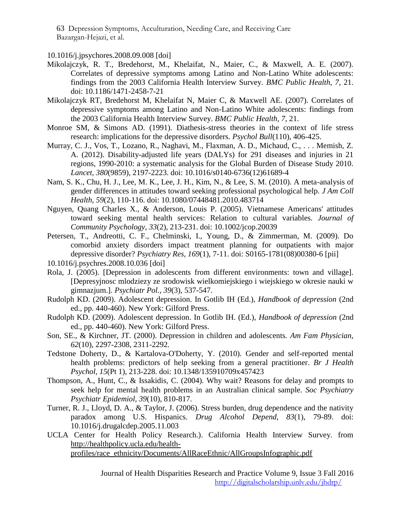10.1016/j.jpsychores.2008.09.008 [doi]

- Mikolajczyk, R. T., Bredehorst, M., Khelaifat, N., Maier, C., & Maxwell, A. E. (2007). Correlates of depressive symptoms among Latino and Non-Latino White adolescents: findings from the 2003 California Health Interview Survey. *BMC Public Health, 7*, 21. doi: 10.1186/1471-2458-7-21
- Mikolajczyk RT, Bredehorst M, Khelaifat N, Maier C, & Maxwell AE. (2007). Correlates of depressive symptoms among Latino and Non-Latino White adolescents: findings from the 2003 California Health Interview Survey. *BMC Public Health, 7*, 21.
- Monroe SM, & Simons AD. (1991). Diathesis-stress theories in the context of life stress research: implications for the depressive disorders. *Psychol Bull*(110), 406-425.
- Murray, C. J., Vos, T., Lozano, R., Naghavi, M., Flaxman, A. D., Michaud, C., . . . Memish, Z. A. (2012). Disability-adjusted life years (DALYs) for 291 diseases and injuries in 21 regions, 1990-2010: a systematic analysis for the Global Burden of Disease Study 2010. *Lancet, 380*(9859), 2197-2223. doi: 10.1016/s0140-6736(12)61689-4
- Nam, S. K., Chu, H. J., Lee, M. K., Lee, J. H., Kim, N., & Lee, S. M. (2010). A meta-analysis of gender differences in attitudes toward seeking professional psychological help. *J Am Coll Health, 59*(2), 110-116. doi: 10.1080/07448481.2010.483714
- Nguyen, Quang Charles X., & Anderson, Louis P. (2005). Vietnamese Americans' attitudes toward seeking mental health services: Relation to cultural variables. *Journal of Community Psychology, 33*(2), 213-231. doi: 10.1002/jcop.20039
- Petersen, T., Andreotti, C. F., Chelminski, I., Young, D., & Zimmerman, M. (2009). Do comorbid anxiety disorders impact treatment planning for outpatients with major depressive disorder? *Psychiatry Res, 169*(1), 7-11. doi: S0165-1781(08)00380-6 [pii]
- 10.1016/j.psychres.2008.10.036 [doi]
- Rola, J. (2005). [Depression in adolescents from different environments: town and village]. [Depresyjnosc mlodziezy ze srodowisk wielkomiejskiego i wiejskiego w okresie nauki w gimnazjum.]. *Psychiatr Pol., 39*(3), 537-547.
- Rudolph KD. (2009). Adolescent depression. In Gotlib IH (Ed.), *Handbook of depression* (2nd ed., pp. 440-460). New York: Gilford Press.
- Rudolph KD. (2009). Adolescent depression. In Gotlib IH. (Ed.), *Handbook of depression* (2nd ed., pp. 440-460). New York: Gilford Press.
- Son, SE., & Kirchner, JT. (2000). Depression in children and adolescents. *Am Fam Physician, 62*(10), 2297-2308, 2311-2292.
- Tedstone Doherty, D., & Kartalova-O'Doherty, Y. (2010). Gender and self-reported mental health problems: predictors of help seeking from a general practitioner. *Br J Health Psychol, 15*(Pt 1), 213-228. doi: 10.1348/135910709x457423
- Thompson, A., Hunt, C., & Issakidis, C. (2004). Why wait? Reasons for delay and prompts to seek help for mental health problems in an Australian clinical sample. *Soc Psychiatry Psychiatr Epidemiol, 39*(10), 810-817.
- Turner, R. J., Lloyd, D. A., & Taylor, J. (2006). Stress burden, drug dependence and the nativity paradox among U.S. Hispanics. *Drug Alcohol Depend, 83*(1), 79-89. doi: 10.1016/j.drugalcdep.2005.11.003
- UCLA Center for Health Policy Research.). California Health Interview Survey. from [http://healthpolicy.ucla.edu/health](http://healthpolicy.ucla.edu/health-profiles/race_ethnicity/Documents/AllRaceEthnic/AllGroupsInfographic.pdf)[profiles/race\\_ethnicity/Documents/AllRaceEthnic/AllGroupsInfographic.pdf](http://healthpolicy.ucla.edu/health-profiles/race_ethnicity/Documents/AllRaceEthnic/AllGroupsInfographic.pdf)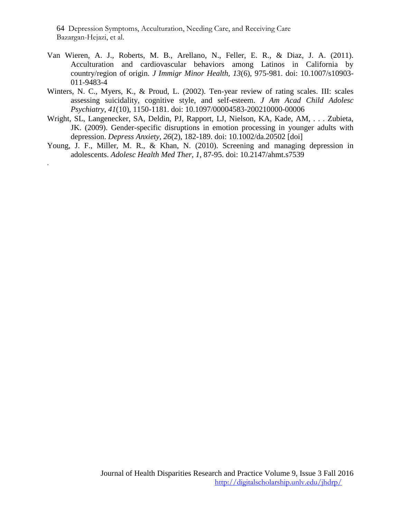.

- Van Wieren, A. J., Roberts, M. B., Arellano, N., Feller, E. R., & Diaz, J. A. (2011). Acculturation and cardiovascular behaviors among Latinos in California by country/region of origin. *J Immigr Minor Health, 13*(6), 975-981. doi: 10.1007/s10903- 011-9483-4
- Winters, N. C., Myers, K., & Proud, L. (2002). Ten-year review of rating scales. III: scales assessing suicidality, cognitive style, and self-esteem. *J Am Acad Child Adolesc Psychiatry, 41*(10), 1150-1181. doi: 10.1097/00004583-200210000-00006
- Wright, SL, Langenecker, SA, Deldin, PJ, Rapport, LJ, Nielson, KA, Kade, AM, . . . Zubieta, JK. (2009). Gender-specific disruptions in emotion processing in younger adults with depression. *Depress Anxiety, 26*(2), 182-189. doi: 10.1002/da.20502 [doi]
- Young, J. F., Miller, M. R., & Khan, N. (2010). Screening and managing depression in adolescents. *Adolesc Health Med Ther, 1*, 87-95. doi: 10.2147/ahmt.s7539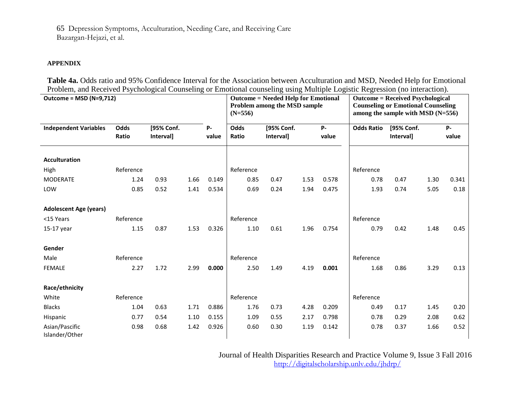#### **APPENDIX**

**Table 4a.** Odds ratio and 95% Confidence Interval for the Association between Acculturation and MSD, Needed Help for Emotional Problem, and Received Psychological Counseling or Emotional counseling using Multiple Logistic Regression (no interaction).

| <b>Outcome = MSD (N=9,712)</b>   |           |            |      |           | <b>Outcome = Needed Help for Emotional</b><br>Problem among the MSD sample<br>$(N=556)$ |            |      |       | <b>Outcome = Received Psychological</b><br><b>Counseling or Emotional Counseling</b><br>among the sample with $MSD(N=556)$ |                  |      |       |  |
|----------------------------------|-----------|------------|------|-----------|-----------------------------------------------------------------------------------------|------------|------|-------|----------------------------------------------------------------------------------------------------------------------------|------------------|------|-------|--|
| <b>Independent Variables</b>     | Odds      | [95% Conf. |      | <b>P-</b> | <b>Odds</b>                                                                             | [95% Conf. |      | P-    | <b>Odds Ratio</b>                                                                                                          | [95% Conf.       |      | $P -$ |  |
|                                  | Ratio     | Interval]  |      | value     | Ratio                                                                                   | Interval]  |      | value |                                                                                                                            | <b>Intervall</b> |      | value |  |
|                                  |           |            |      |           |                                                                                         |            |      |       |                                                                                                                            |                  |      |       |  |
| <b>Acculturation</b>             |           |            |      |           |                                                                                         |            |      |       |                                                                                                                            |                  |      |       |  |
| High                             | Reference |            |      |           | Reference                                                                               |            |      |       | Reference                                                                                                                  |                  |      |       |  |
| <b>MODERATE</b>                  | 1.24      | 0.93       | 1.66 | 0.149     | 0.85                                                                                    | 0.47       | 1.53 | 0.578 | 0.78                                                                                                                       | 0.47             | 1.30 | 0.341 |  |
| LOW                              | 0.85      | 0.52       | 1.41 | 0.534     | 0.69                                                                                    | 0.24       | 1.94 | 0.475 | 1.93                                                                                                                       | 0.74             | 5.05 | 0.18  |  |
|                                  |           |            |      |           |                                                                                         |            |      |       |                                                                                                                            |                  |      |       |  |
| <b>Adolescent Age (years)</b>    |           |            |      |           |                                                                                         |            |      |       |                                                                                                                            |                  |      |       |  |
| <15 Years                        | Reference |            |      |           | Reference                                                                               |            |      |       | Reference                                                                                                                  |                  |      |       |  |
| 15-17 year                       | 1.15      | 0.87       | 1.53 | 0.326     | 1.10                                                                                    | 0.61       | 1.96 | 0.754 | 0.79                                                                                                                       | 0.42             | 1.48 | 0.45  |  |
|                                  |           |            |      |           |                                                                                         |            |      |       |                                                                                                                            |                  |      |       |  |
| Gender                           |           |            |      |           |                                                                                         |            |      |       |                                                                                                                            |                  |      |       |  |
| Male                             | Reference |            |      |           | Reference                                                                               |            |      |       | Reference                                                                                                                  |                  |      |       |  |
| <b>FEMALE</b>                    | 2.27      | 1.72       | 2.99 | 0.000     | 2.50                                                                                    | 1.49       | 4.19 | 0.001 | 1.68                                                                                                                       | 0.86             | 3.29 | 0.13  |  |
|                                  |           |            |      |           |                                                                                         |            |      |       |                                                                                                                            |                  |      |       |  |
| Race/ethnicity                   |           |            |      |           |                                                                                         |            |      |       |                                                                                                                            |                  |      |       |  |
| White                            | Reference |            |      |           | Reference                                                                               |            |      |       | Reference                                                                                                                  |                  |      |       |  |
| <b>Blacks</b>                    | 1.04      | 0.63       | 1.71 | 0.886     | 1.76                                                                                    | 0.73       | 4.28 | 0.209 | 0.49                                                                                                                       | 0.17             | 1.45 | 0.20  |  |
| Hispanic                         | 0.77      | 0.54       | 1.10 | 0.155     | 1.09                                                                                    | 0.55       | 2.17 | 0.798 | 0.78                                                                                                                       | 0.29             | 2.08 | 0.62  |  |
| Asian/Pascific<br>Islander/Other | 0.98      | 0.68       | 1.42 | 0.926     | 0.60                                                                                    | 0.30       | 1.19 | 0.142 | 0.78                                                                                                                       | 0.37             | 1.66 | 0.52  |  |